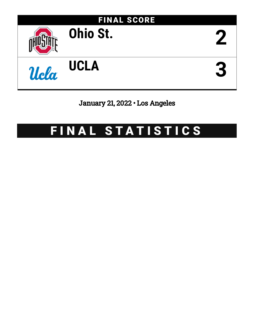

## January 21, 2022 • Los Angeles

# FINAL STATISTICS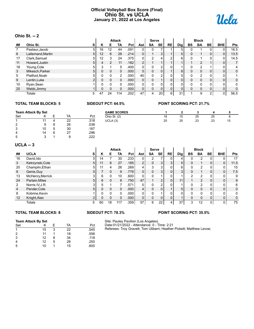#### **Official Volleyball Box Score (Final) Ohio St. vs UCLA January 21, 2022 at Los Angeles**



#### **Ohio St. -- 2**

|    | UIIIU JL. -- 4    |                |          |                |               |      |                |               |           |                |     |           |                |    |            |                |
|----|-------------------|----------------|----------|----------------|---------------|------|----------------|---------------|-----------|----------------|-----|-----------|----------------|----|------------|----------------|
|    |                   |                |          |                | <b>Attack</b> |      |                | <b>Serve</b>  |           |                |     |           | <b>Block</b>   |    |            |                |
| ## | Ohio St.          | s              | n        | Е              | TA            | Pct  | Ast            | <b>SA</b>     | <b>SE</b> | <b>RE</b>      | Dig | <b>BS</b> | <b>BA</b>      | BE | <b>BHE</b> | <b>Pts</b>     |
|    | Pasteur, Jacob    | 5              | 16       | 12             | 44            | .091 |                | 0             |           |                | 5   |           |                |    |            | 16.5           |
| 6  | Lallemand, Martin | 5              | 12       | 6              | 28            | .214 | 0              |               | 3         |                | 5   | 0         |                | 0  | 0          | 13.5           |
| 17 | Clark, Samuel     | 5              | 12       | 3              | 24            | .375 | 0              | $\mathcal{P}$ |           | c              | 6   |           |                |    | 0          | 14.5           |
| 11 | Howard, Justin    | 5              |          | $\overline{2}$ | 11            | .182 | $\overline{2}$ |               |           |                |     |           | $\overline{2}$ |    | 0          | $\overline{7}$ |
| 18 | Young, Cole       | 5              | 3        |                | 5             | .400 | 0              | 0             | ົ         | $\mathbf{0}$   |     |           | $\mathfrak{p}$ |    | 0          | 4              |
| 3  | Mikesch, Parker   | 5 <sup>1</sup> | $\Omega$ | $\Omega$       | $\Omega$      | .000 | 5 <sub>1</sub> | 0             |           |                | 8   | 0         | $\mathbf{0}$   | 0  | 0          | 0              |
| 5  | Platfoot, Noah    | 5              | 0        | 0              | 2             | .000 | 40             | 0             | ົ         | 0              | 5   |           | $\mathfrak{p}$ | 0  | 0          |                |
| 9  | Lentin, Luke      | C              | $\Omega$ | 0              | 0             | .000 | 0              | 0             |           | 0              |     |           | 0              | 0  | 0          | 0              |
| 10 | Ryan, Sean        |                | $\Omega$ | $\Omega$       | U             | .000 | 0              | 0             |           | 0              | 0   |           | $\Omega$       | 0  | 0          | 0              |
| 20 | Webb, Jimmy       |                | $\Omega$ | $\Omega$       | 0             | .000 | 0              | 0             | 0         | $\overline{0}$ |     | 0         | $\mathbf 0$    | 0  | 0          | 0              |
|    | Totals            | 5              | 47       | 24             | 114           | .202 | 47             | 4             | 20        | 6              | 31  |           | 9              | 2  | 0          | 56.5           |

#### **TOTAL TEAM BLOCKS: 5 SIDEOUT PCT: 64.5% POINT SCORING PCT: 21.7%**

| <b>Team Attack By Set</b> |    |  |    | <b>GAME SCORES</b> |              |    |    |    |    |    |
|---------------------------|----|--|----|--------------------|--------------|----|----|----|----|----|
| Set                       |    |  | TA | Pct                | Ohio St. (2) | 18 | 15 | 25 | 25 |    |
|                           |    |  | 22 | .318               | UCLA(3)      | 25 | 25 | 23 | 23 | 15 |
| 2                         |    |  | 26 | .038               |              |    |    |    |    |    |
| 3                         | 10 |  | 30 | .167               |              |    |    |    |    |    |
| 4                         | 14 |  | 27 | .296               |              |    |    |    |    |    |
| 5                         |    |  |    | .222               |              |    |    |    |    |    |

#### **UCLA -- 3**

|                | UULA -- J        |                |          |    |               |      |                |                |                |                |     |          |                |              |              |      |
|----------------|------------------|----------------|----------|----|---------------|------|----------------|----------------|----------------|----------------|-----|----------|----------------|--------------|--------------|------|
|                |                  |                |          |    | <b>Attack</b> |      |                | <b>Serve</b>   |                |                |     |          | <b>Block</b>   |              |              |      |
| ##             | <b>UCLA</b>      | S              | Κ        | Е  | TA            | Pct  | Astl           | <b>SA</b>      | <b>SE</b>      | <b>RE</b>      | Dig | BS       | <b>BA</b>      | BE           | <b>BHE</b>   | Pts  |
| 16             | David.Ido        | 5              | 14       |    | 30            | .233 | $\Omega$       | $\overline{2}$ |                |                |     |          | 2              |              |              | 17   |
| 3              | Ketrzynski, Cole | 5 <sup>1</sup> | 11       | 6  | 27            | .185 | 2 <sub>1</sub> | 0              | 3 <sub>1</sub> | 3 <sub>1</sub> | 5   | $\Omega$ |                | 0            | 0            | 11.5 |
| 20             | Champlin, Ethan  | 5              |          | 4  | 26            | 269  | 4              | 3              | 3              |                | 6   |          | $\overline{2}$ | 0            | 0            | 15   |
| 9              | Genis, Guy       | 5 <sup>1</sup> |          | 0  | 9             | .778 | $\overline{0}$ | 0              | 3 <sub>1</sub> | $\overline{0}$ | 3   | 0        |                | $\mathbf{0}$ | $\mathbf{0}$ | 7.5  |
| 13             | McHenry, Merrick | 3              | 6        | 0  | 10            | .600 | $\Omega$       | 0              |                | 0              |     | ົ        | $\mathfrak{p}$ | 0            | 0            | 9    |
| 24             | Partain, Miles   | 5 <sup>1</sup> | 6        | 0  | 8             | .750 | 47             |                | $\overline{2}$ | $\overline{0}$ | 11  |          | $\overline{2}$ | 0            | 0            | 9    |
| 2              | Norris IV, J.R.  | 3              | 5        |    |               | 571  | $\Omega$       | 0              | $\sim$         | 0              |     |          | $\overline{2}$ | 0            | 0            | 6    |
| $\overline{4}$ | Pender, Cole     | 5 <sup>1</sup> |          | 0  |               | .000 | $\overline{4}$ | 0              | $\Omega$       |                | 5   | 0        | $\mathbf 0$    | 0            | 0            | 0    |
| 8              | Kobrine, Kevin   |                | 0        | 0  | O             | 000  | $\Omega$       | 0              |                | 0              | 0   |          | $\Omega$       | 0            | 0            | 0    |
| 12             | Knight, Alex     | $\overline{2}$ | $\Omega$ | 0  | 0             | .000 | $\overline{0}$ | 0              | 0              | $\overline{0}$ |     | $\Omega$ | $\mathbf{0}$   | 0            | 0            | 0    |
|                | Totals           | 5              | 60       | 18 | 117           | .359 | 57             | 6              | 22             | 4              | 37  | 3        | 12             | 0            | 0            | 75   |

#### **TOTAL TEAM BLOCKS: 8 SIDEOUT PCT: 78.3% POINT SCORING PCT: 35.5%**

#### **Team Attack By Set** Set K E TA Pct 1 15 3 22 .545 2 11 1 18 .556 3 12 8 34 .118 4 12 5 28 .250 5 10 1 15 .600

Site: Pauley Pavilion (Los Angeles) Date:01/21/2022 - Attendance: 0 - Time: 2:21 Referees: Troy Gravett; Tom Ulibarri; Heather Pickett; Matthew Levoe;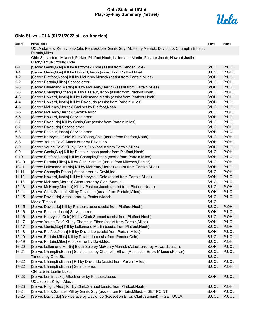#### **Ohio State at UCLA Play-by-Play Summary (1st set)**



| Score                  | Plays: Set 1                                                                                                                                            | Serve          | Point          |
|------------------------|---------------------------------------------------------------------------------------------------------------------------------------------------------|----------------|----------------|
|                        | UCLA starters: Ketrzynski, Cole; Pender, Cole; Genis, Guy; McHenry, Merrick; David, Ido; Champlin, Ethan;<br>Partain, Miles                             |                |                |
|                        | Ohio St. starters: Mikesch, Parker; Platfoot, Noah; Lallemand, Martin; Pasteur, Jacob; Howard, Justin;<br>Clark, Samuel; Young, Cole                    |                |                |
| $0 - 1$                | [Serve: Genis, Guy] Kill by Ketrzynski, Cole (assist from Pender, Cole).                                                                                | S:UCL          | P:UCL          |
| $1 - 1$                | [Serve: Genis, Guy] Kill by Howard, Justin (assist from Platfoot, Noah).                                                                                | S:UCL          | P:OHI          |
| $1 - 2$                | [Serve: Platfoot, Noah] Kill by McHenry, Merrick (assist from Partain, Miles).                                                                          | S:OHI          | P:UCL          |
| $2 - 2$                | [Serve: Partain, Miles] Service error.                                                                                                                  | S:UCL          | P:OHI          |
| $2 - 3$                | [Serve: Lallemand, Martin] Kill by McHenry, Merrick (assist from Partain, Miles).                                                                       | S:OHI          | P:UCL          |
| $3 - 3$                | [Serve: Champlin, Ethan ] Kill by Pasteur, Jacob (assist from Platfoot, Noah).                                                                          | S:UCL          | P:OHI          |
| $4 - 3$                | [Serve: Howard, Justin] Kill by Lallemand, Martin (assist from Platfoot, Noah).                                                                         | S:OHI          | P:OHI          |
| $4 - 4$                | [Serve: Howard, Justin] Kill by David, Ido (assist from Partain, Miles).                                                                                | S:OHI          | P:UCL          |
| $4 - 5$                | [Serve: McHenry, Merrick] Bad set by Platfoot, Noah.                                                                                                    | S:UCL          | P:UCL          |
| $5-5$                  | [Serve: McHenry, Merrick] Service error.                                                                                                                | S:UCL          | P:OHI          |
| $5-6$                  | [Serve: Howard, Justin] Service error.                                                                                                                  | S:OHI          | P:UCL          |
| $5 - 7$                | [Serve: David, Ido] Kill by Genis, Guy (assist from Partain, Miles).                                                                                    | S:UCL          | P:UCL          |
| $6 - 7$                | [Serve: David, Ido] Service error.                                                                                                                      | S:UCL          | P:OHI          |
| $6-8$                  | [Serve: Pasteur, Jacob] Service error.                                                                                                                  | S:OHI          | P:UCL          |
| $7 - 8$                | [Serve: Ketrzynski, Cole] Kill by Young, Cole (assist from Platfoot, Noah).                                                                             | S:UCL          | P:OHI          |
| $8 - 8$                | [Serve: Young, Cole] Attack error by David, Ido.                                                                                                        | S:OHI          | P:OHI          |
| $8-9$                  | [Serve: Young, Cole] Kill by Genis, Guy (assist from Partain, Miles).                                                                                   | S:OHI          | P:UCL          |
| $9-9$                  | [Serve: Genis, Guy] Kill by Pasteur, Jacob (assist from Platfoot, Noah).                                                                                | S:UCL          | P:OHI          |
| $9 - 10$               | [Serve: Platfoot, Noah] Kill by Champlin, Ethan (assist from Partain, Miles).                                                                           | S:OHI          | P:UCL          |
| $10 - 10$              | [Serve: Partain, Miles] Kill by Clark, Samuel (assist from Mikesch, Parker).                                                                            | S:UCL          | P:OHI          |
| $10 - 11$              | [Serve: Lallemand, Martin] Kill by McHenry, Merrick (assist from Partain, Miles).                                                                       | S:OHI          | P:UCL          |
| $11 - 11$              | [Serve: Champlin, Ethan ] Attack error by David, Ido.                                                                                                   | S:UCL          | P:OHI          |
| $11 - 12$              | [Serve: Howard, Justin] Kill by Ketrzynski, Cole (assist from Partain, Miles).                                                                          | S:OHI          | P:UCL          |
| $11 - 13$              | [Serve: McHenry, Merrick] Attack error by Clark, Samuel.                                                                                                | S:UCL          | P:UCL          |
| $12 - 13$              | [Serve: McHenry, Merrick] Kill by Pasteur, Jacob (assist from Platfoot, Noah).                                                                          | S:UCL          | P:OHI          |
| $12 - 14$              | [Serve: Clark, Samuel] Kill by David, Ido (assist from Partain, Miles).                                                                                 | S:OHI          | P:UCL          |
| $12 - 15$              | [Serve: David, Ido] Attack error by Pasteur, Jacob.                                                                                                     | S:UCL          | P:UCL          |
|                        | Media Timeout.                                                                                                                                          | S:UCL          |                |
| $13 - 15$              | [Serve: David, Ido] Kill by Pasteur, Jacob (assist from Platfoot, Noah).                                                                                | S:UCL          | P:OHI          |
| $13 - 16$              | [Serve: Pasteur, Jacob] Service error.                                                                                                                  | S:OHI          | P:UCL          |
| $14 - 16$              | [Serve: Ketrzynski, Cole] Kill by Clark, Samuel (assist from Platfoot, Noah).                                                                           | S:UCL          | P:OHI          |
| $14 - 17$              | [Serve: Young, Cole] Kill by Champlin, Ethan (assist from Partain, Miles).                                                                              | S:OHI          | P:UCL          |
| $15 - 17$              | [Serve: Genis, Guy] Kill by Lallemand, Martin (assist from Platfoot, Noah).<br>[Serve: Platfoot, Noah] Kill by David, Ido (assist from Partain, Miles). | S:UCL          | P:OHI          |
| $15 - 18$<br>$15 - 19$ |                                                                                                                                                         | S:OHI<br>S:UCL | P:UCL<br>P:UCL |
| 16-19                  | [Serve: Partain, Miles] Kill by David, Ido (assist from Pender, Cole).<br>[Serve: Partain, Miles] Attack error by David, Ido.                           | S:UCL          | P:OHI          |
| 16-20                  | [Serve: Lallemand, Martin] Block Solo by McHenry, Merrick (Attack error by Howard, Justin).                                                             | S:OHI          | P:UCL          |
| $16 - 21$              | [Serve: Champlin, Ethan ] Service ace by Champlin, Ethan (Reception Error: Mikesch, Parker).                                                            | S:UCL          | P:UCL          |
|                        | Timeout by Ohio St                                                                                                                                      | S:UCL          |                |
| 16-22                  | [Serve: Champlin, Ethan ] Kill by David, Ido (assist from Partain, Miles).                                                                              | S:UCL          | P:UCL          |
| $17 - 22$              | [Serve: Champlin, Ethan ] Service error.                                                                                                                | S:UCL          | P:OHI          |
|                        | OHI sub in: Lentin, Luke.                                                                                                                               |                |                |
| 17-23                  | [Serve: Lentin, Luke] Attack error by Pasteur, Jacob.                                                                                                   | S:OHI          | P:UCL          |
|                        | UCL sub in: Knight, Alex.                                                                                                                               |                |                |
| 18-23                  | [Serve: Knight, Alex ] Kill by Clark, Samuel (assist from Platfoot, Noah).                                                                              | S:UCL          | P:OHI          |
| 18-24                  | [Serve: Clark, Samuel] Kill by Genis, Guy (assist from Partain, Miles). -- SET POINT.                                                                   | S:OHI          | P:UCL          |
| 18-25                  | [Serve: David, Ido] Service ace by David, Ido (Reception Error: Clark, Samuel). -- SET UCLA.                                                            | S:UCL          | P:UCL          |
|                        |                                                                                                                                                         |                |                |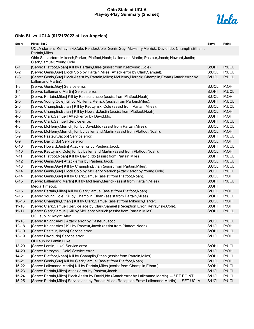#### **Ohio State at UCLA Play-by-Play Summary (2nd set)**



| Score     | Plays: Set 2                                                                                                                         | Serve | Point |
|-----------|--------------------------------------------------------------------------------------------------------------------------------------|-------|-------|
|           | UCLA starters: Ketrzynski, Cole; Pender, Cole; Genis, Guy; McHenry, Merrick; David, Ido; Champlin, Ethan;<br>Partain, Miles          |       |       |
|           | Ohio St. starters: Mikesch, Parker; Platfoot, Noah; Lallemand, Martin; Pasteur, Jacob; Howard, Justin;<br>Clark, Samuel; Young, Cole |       |       |
| $0 - 1$   | [Serve: Platfoot, Noah] Kill by Partain, Miles (assist from Ketrzynski, Cole).                                                       | S:OHI | P:UCL |
| $0 - 2$   | [Serve: Genis, Guy] Block Solo by Partain, Miles (Attack error by Clark, Samuel).                                                    | S:UCL | P:UCL |
| $0 - 3$   | [Serve: Genis, Guy] Block Assist by Partain, Miles; McHenry, Merrick; Champlin, Ethan (Attack error by<br>Lallemand, Martin).        | S:UCL | P:UCL |
| $1 - 3$   | [Serve: Genis, Guy] Service error.                                                                                                   | S:UCL | P:OHI |
| $1 - 4$   | [Serve: Lallemand, Martin] Service error.                                                                                            | S:OHI | P:UCL |
| $2 - 4$   | [Serve: Partain, Miles] Kill by Pasteur, Jacob (assist from Platfoot, Noah).                                                         | S:UCL | P:OHI |
| $2 - 5$   | [Serve: Young, Cole] Kill by McHenry, Merrick (assist from Partain, Miles).                                                          | S:OHI | P:UCL |
| $2 - 6$   | [Serve: Champlin, Ethan ] Kill by Ketrzynski, Cole (assist from Partain, Miles).                                                     | S:UCL | P:UCL |
| $3-6$     | [Serve: Champlin, Ethan ] Kill by Howard, Justin (assist from Platfoot, Noah).                                                       | S:UCL | P:OHI |
| $4 - 6$   | [Serve: Clark, Samuel] Attack error by David, Ido.                                                                                   | S:OHI | P:OHI |
| $4 - 7$   | [Serve: Clark, Samuel] Service error.                                                                                                | S:OHI | P:UCL |
| $4 - 8$   | [Serve: McHenry, Merrick] Kill by David, Ido (assist from Partain, Miles).                                                           | S:UCL | P:UCL |
| $5-8$     | [Serve: McHenry, Merrick] Kill by Lallemand, Martin (assist from Platfoot, Noah).                                                    | S:UCL | P:OHI |
| $5-9$     | [Serve: Pasteur, Jacob] Service error.                                                                                               | S:OHI | P:UCL |
| $6-9$     | [Serve: David, Ido] Service error.                                                                                                   | S:UCL | P:OHI |
| $6 - 10$  | [Serve: Howard, Justin] Attack error by Pasteur, Jacob.                                                                              | S:OHI | P:UCL |
| $7 - 10$  | [Serve: Ketrzynski, Cole] Kill by Lallemand, Martin (assist from Platfoot, Noah).                                                    | S:UCL | P:OHI |
| $7 - 11$  | [Serve: Platfoot, Noah] Kill by David, Ido (assist from Partain, Miles).                                                             | S:OHI | P:UCL |
| $7 - 12$  | [Serve: Genis, Guy] Attack error by Pasteur, Jacob.                                                                                  | S:UCL | P:UCL |
| $7 - 13$  | [Serve: Genis, Guy] Kill by Champlin, Ethan (assist from Partain, Miles).                                                            | S:UCL | P:UCL |
| $7 - 14$  | [Serve: Genis, Guy] Block Solo by McHenry, Merrick (Attack error by Young, Cole).                                                    | S:UCL | P:UCL |
| $8 - 14$  | [Serve: Genis, Guy] Kill by Clark, Samuel (assist from Platfoot, Noah).                                                              | S:UCL | P:OHI |
| $8 - 15$  | [Serve: Lallemand, Martin] Kill by McHenry, Merrick (assist from Partain, Miles).                                                    | S:OHI | P:UCL |
|           | Media Timeout.                                                                                                                       | S:OHI |       |
| $9 - 15$  | [Serve: Partain, Miles] Kill by Clark, Samuel (assist from Platfoot, Noah).                                                          | S:UCL | P:OHI |
| $9 - 16$  | [Serve: Young, Cole] Kill by Champlin, Ethan (assist from Partain, Miles).                                                           | S:OHI | P:UCL |
| $10 - 16$ | [Serve: Champlin, Ethan ] Kill by Clark, Samuel (assist from Mikesch, Parker).                                                       | S:UCL | P:OHI |
| $11 - 16$ | [Serve: Clark, Samuel] Service ace by Clark, Samuel (Reception Error: Ketrzynski, Cole).                                             | S:OHI | P:OHI |
| $11 - 17$ | [Serve: Clark, Samuel] Kill by McHenry, Merrick (assist from Partain, Miles).                                                        | S:OHI | P:UCL |
|           | UCL sub in: Knight, Alex.                                                                                                            |       |       |
| $11 - 18$ | [Serve: Knight, Alex ] Attack error by Pasteur, Jacob.                                                                               | S:UCL | P:UCL |
| $12 - 18$ | [Serve: Knight, Alex ] Kill by Pasteur, Jacob (assist from Platfoot, Noah).                                                          | S:UCL | P:OHI |
| $12 - 19$ | [Serve: Pasteur, Jacob] Service error.                                                                                               | S:OHI | P:UCL |
| 13-19     | [Serve: David, Ido] Service error.                                                                                                   | S:UCL | P:OHI |
|           | OHI sub in: Lentin, Luke.                                                                                                            |       |       |
| 13-20     | [Serve: Lentin, Luke] Service error.                                                                                                 | S:OHI | P:UCL |
| $14 - 20$ | [Serve: Ketrzynski, Cole] Service error.                                                                                             | S:UCL | P:OHI |
| $14 - 21$ | [Serve: Platfoot, Noah] Kill by Champlin, Ethan (assist from Partain, Miles).                                                        | S:OHI | P:UCL |
| $15 - 21$ | [Serve: Genis, Guy] Kill by Clark, Samuel (assist from Platfoot, Noah).                                                              | S:UCL | P:OHI |
| 15-22     | [Serve: Lallemand, Martin] Kill by Partain, Miles (assist from Champlin, Ethan).                                                     | S:OHI | P:UCL |
| 15-23     | [Serve: Partain, Miles] Attack error by Pasteur, Jacob.                                                                              | S:UCL | P:UCL |
| 15-24     | [Serve: Partain, Miles] Block Assist by David, Ido (Attack error by Lallemand, Martin). -- SET POINT.                                | S:UCL | P:UCL |
| $15 - 25$ | [Serve: Partain, Miles] Service ace by Partain, Miles (Reception Error: Lallemand, Martin). -- SET UCLA.                             | S:UCL | P:UCL |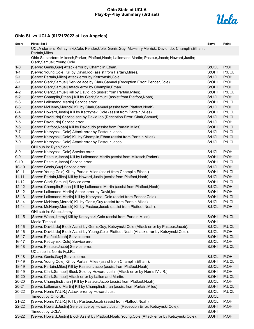#### **Ohio State at UCLA Play-by-Play Summary (3rd set)**



| Score     | Plays: Set 3                                                                                                                         | Serve | Point |
|-----------|--------------------------------------------------------------------------------------------------------------------------------------|-------|-------|
|           | UCLA starters: Ketrzynski, Cole; Pender, Cole; Genis, Guy; McHenry, Merrick; David, Ido; Champlin, Ethan;<br>Partain, Miles          |       |       |
|           | Ohio St. starters: Mikesch, Parker; Platfoot, Noah; Lallemand, Martin; Pasteur, Jacob; Howard, Justin;<br>Clark, Samuel; Young, Cole |       |       |
| $1 - 0$   | [Serve: Genis, Guy] Attack error by Champlin, Ethan.                                                                                 | S:UCL | P:OHI |
| $1 - 1$   | [Serve: Young, Cole] Kill by David, Ido (assist from Partain, Miles).                                                                | S:OHI | P:UCL |
| $2 - 1$   | [Serve: Partain, Miles] Attack error by Ketrzynski, Cole.                                                                            | S:UCL | P:OHI |
| $3 - 1$   | [Serve: Clark, Samuel] Service ace by Clark, Samuel (Reception Error: Pender, Cole).                                                 | S:OHI | P:OHI |
| $4 - 1$   | [Serve: Clark, Samuel] Attack error by Champlin, Ethan.                                                                              | S:OHI | P:OHI |
| $4 - 2$   | [Serve: Clark, Samuel] Kill by David, Ido (assist from Partain, Miles).                                                              | S:OHI | P:UCL |
| $5-2$     | [Serve: Champlin, Ethan ] Kill by Clark, Samuel (assist from Platfoot, Noah).                                                        | S:UCL | P:OHI |
| $5-3$     | [Serve: Lallemand, Martin] Service error.                                                                                            | S:OHI | P:UCL |
| $6 - 3$   | [Serve: McHenry, Merrick] Kill by Clark, Samuel (assist from Platfoot, Noah).                                                        | S:UCL | P:OHI |
| $6-4$     | [Serve: Howard, Justin] Kill by Ketrzynski, Cole (assist from Partain, Miles).                                                       | S:OHI | P:UCL |
| $6-5$     | [Serve: David, Ido] Service ace by David, Ido (Reception Error: Clark, Samuel).                                                      | S:UCL | P:UCL |
| $7 - 5$   | [Serve: David, Ido] Service error.                                                                                                   | S:UCL | P:OHI |
| $7-6$     | [Serve: Platfoot, Noah] Kill by David, Ido (assist from Partain, Miles).                                                             | S:OHI | P:UCL |
| $7 - 7$   | [Serve: Ketrzynski, Cole] Attack error by Pasteur, Jacob.                                                                            | S:UCL | P:UCL |
| $7 - 8$   | [Serve: Ketrzynski, Cole] Kill by Champlin, Ethan (assist from Partain, Miles).                                                      | S:UCL | P:UCL |
| $7-9$     | [Serve: Ketrzynski, Cole] Attack error by Pasteur, Jacob.                                                                            | S:UCL | P:UCL |
|           | OHI sub in: Ryan, Sean.                                                                                                              |       |       |
| $8-9$     | [Serve: Ketrzynski, Cole] Service error.                                                                                             | S:UCL | P:OHI |
| $9-9$     | [Serve: Pasteur, Jacob] Kill by Lallemand, Martin (assist from Mikesch, Parker).                                                     | S:OHI | P:OHI |
| $9 - 10$  | [Serve: Pasteur, Jacob] Service error.                                                                                               | S:OHI | P:UCL |
| $10 - 10$ | [Serve: Genis, Guy] Service error.                                                                                                   | S:UCL | P:OHI |
| $10 - 11$ | [Serve: Young, Cole] Kill by Partain, Miles (assist from Champlin, Ethan).                                                           | S:OHI | P:UCL |
| $11 - 11$ | [Serve: Partain, Miles] Kill by Howard, Justin (assist from Platfoot, Noah).                                                         | S:UCL | P:OHI |
| $11 - 12$ | [Serve: Clark, Samuel] Service error.                                                                                                | S:OHI | P:UCL |
| $12 - 12$ | [Serve: Champlin, Ethan ] Kill by Lallemand, Martin (assist from Platfoot, Noah).                                                    | S:UCL | P:OHI |
| $13 - 12$ | [Serve: Lallemand, Martin] Attack error by David, Ido.                                                                               | S:OHI | P:OHI |
| $13 - 13$ | [Serve: Lallemand, Martin] Kill by Ketrzynski, Cole (assist from Pender, Cole).                                                      | S:OHI | P:UCL |
| $13 - 14$ | [Serve: McHenry, Merrick] Kill by Genis, Guy (assist from Partain, Miles).                                                           | S:UCL | P:UCL |
| $14 - 14$ | [Serve: McHenry, Merrick] Kill by Pasteur, Jacob (assist from Platfoot, Noah).                                                       | S:UCL | P:OHI |
|           | OHI sub in: Webb, Jimmy.                                                                                                             |       |       |
| $14 - 15$ | [Serve: Webb, Jimmy] Kill by Ketrzynski, Cole (assist from Partain, Miles).                                                          | S:OHI | P:UCL |
|           | Media Timeout.                                                                                                                       | S:OHI |       |
| $14 - 16$ | [Serve: David, Ido] Block Assist by Genis, Guy; Ketrzynski, Cole (Attack error by Pasteur, Jacob).                                   | S:UCL | P:UCL |
| $15 - 16$ | [Serve: David, Ido] Block Assist by Young, Cole; Platfoot, Noah (Attack error by Ketrzynski, Cole).                                  | S:UCL | P:OHI |
| $15 - 17$ | [Serve: Platfoot, Noah] Service error.                                                                                               | S:OHI | P:UCL |
| $16 - 17$ | [Serve: Ketrzynski, Cole] Service error.                                                                                             | S:UCL | P:OHI |
| $16 - 18$ | [Serve: Pasteur, Jacob] Service error.                                                                                               | S:OHI | P:UCL |
|           | UCL sub in: Norris IV, J.R                                                                                                           |       |       |
| $17 - 18$ | [Serve: Genis, Guy] Service error.                                                                                                   | S:UCL | P:OHI |
| 17-19     | [Serve: Young, Cole] Kill by Partain, Miles (assist from Champlin, Ethan).                                                           | S:OHI | P:UCL |
| 18-19     | [Serve: Partain, Miles] Kill by Pasteur, Jacob (assist from Platfoot, Noah).                                                         | S:UCL | P:OHI |
| 19-19     | [Serve: Clark, Samuel] Block Solo by Howard, Justin (Attack error by Norris IV, J.R.).                                               | S:OHI | P:OHI |
| 19-20     | [Serve: Clark, Samuel] Attack error by Lallemand, Martin.                                                                            | S:OHI | P:UCL |
| 20-20     | [Serve: Champlin, Ethan ] Kill by Pasteur, Jacob (assist from Platfoot, Noah).                                                       | S:UCL | P:OHI |
| $20 - 21$ | [Serve: Lallemand, Martin] Kill by Champlin, Ethan (assist from Partain, Miles).                                                     | S:OHI | P:UCL |
| 20-22     | [Serve: Norris IV, J.R.] Attack error by Howard, Justin.                                                                             | S:UCL | P:UCL |
|           | Timeout by Ohio St                                                                                                                   | S:UCL |       |
| 21-22     | [Serve: Norris IV, J.R.] Kill by Pasteur, Jacob (assist from Platfoot, Noah).                                                        | S:UCL | P:OHI |
| 22-22     | [Serve: Howard, Justin] Service ace by Howard, Justin (Reception Error: Ketrzynski, Cole).                                           | S:OHI | P:OHI |
|           | Timeout by UCLA.                                                                                                                     | S:OHI |       |
| 23-22     | [Serve: Howard, Justin] Block Assist by Platfoot, Noah; Young, Cole (Attack error by Ketrzynski, Cole).                              | S:OHI | P:OHI |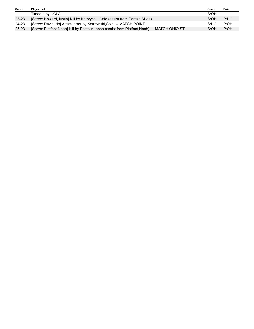| Score     | Plays: Set 3                                                                                  | Serve       | Point |
|-----------|-----------------------------------------------------------------------------------------------|-------------|-------|
|           | Timeout by UCLA.                                                                              | S:OHI       |       |
| 23-23     | [Serve: Howard, Justin] Kill by Ketrzynski, Cole (assist from Partain, Miles).                | S:OHI       | P:UCL |
| 24-23     | [Serve: David, Ido] Attack error by Ketrzynski, Cole. -- MATCH POINT.                         | S:UCL P:OHI |       |
| $25 - 23$ | [Serve: Platfoot, Noah] Kill by Pasteur, Jacob (assist from Platfoot, Noah). -- MATCH OHIO ST | S:OHI       | P:OHI |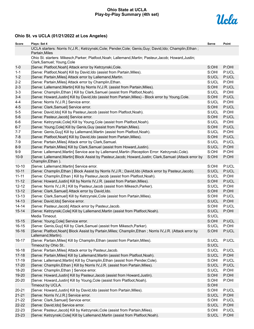#### **Ohio State at UCLA Play-by-Play Summary (4th set)**



| Score     | Plays: Set 4                                                                                                                         | Serve | Point |
|-----------|--------------------------------------------------------------------------------------------------------------------------------------|-------|-------|
|           | UCLA starters: Norris IV, J.R.; Ketrzynski, Cole; Pender, Cole; Genis, Guy; David, Ido; Champlin, Ethan;<br>Partain, Miles           |       |       |
|           | Ohio St. starters: Mikesch, Parker; Platfoot, Noah; Lallemand, Martin; Pasteur, Jacob; Howard, Justin;<br>Clark, Samuel; Young, Cole |       |       |
| $1 - 0$   | [Serve: Platfoot, Noah] Attack error by Ketrzynski, Cole.                                                                            | S:OHI | P:OHI |
| $1 - 1$   | [Serve: Platfoot, Noah] Kill by David, Ido (assist from Partain, Miles).                                                             | S:OHI | P:UCL |
| $1 - 2$   | [Serve: Partain, Miles] Attack error by Lallemand, Martin.                                                                           | S:UCL | P:UCL |
| $2 - 2$   | [Serve: Partain, Miles] Attack error by Champlin, Ethan.                                                                             | S:UCL | P:OHI |
| $2 - 3$   | [Serve: Lallemand, Martin] Kill by Norris IV, J.R. (assist from Partain, Miles).                                                     | S:OHI | P:UCL |
| $3 - 3$   | [Serve: Champlin, Ethan ] Kill by Clark, Samuel (assist from Platfoot, Noah).                                                        | S:UCL | P:OHI |
| $3-4$     | [Serve: Howard, Justin] Kill by David, Ido (assist from Partain, Miles) - Block error by Young, Cole.                                | S:OHI | P:UCL |
| $4 - 4$   | [Serve: Norris IV, J.R.] Service error.                                                                                              | S:UCL | P:OHI |
| $4 - 5$   | [Serve: Clark, Samuel] Service error.                                                                                                | S:OHI | P:UCL |
| $5-5$     | [Serve: David, Ido] Kill by Pasteur, Jacob (assist from Platfoot, Noah).                                                             | S:UCL | P:OHI |
| $5-6$     | [Serve: Pasteur, Jacob] Service error.                                                                                               | S:OHI | P:UCL |
| $6-6$     | [Serve: Ketrzynski, Cole] Kill by Young, Cole (assist from Platfoot, Noah).                                                          | S:UCL | P:OHI |
| $6 - 7$   | [Serve: Young, Cole] Kill by Genis, Guy (assist from Partain, Miles).                                                                | S:OHI | P:UCL |
| $7 - 7$   | [Serve: Genis, Guy] Kill by Lallemand, Martin (assist from Platfoot, Noah).                                                          | S:UCL | P:OHI |
| $7 - 8$   | [Serve: Platfoot, Noah] Kill by David, Ido (assist from Partain, Miles).                                                             | S:OHI | P:UCL |
| $7-9$     | [Serve: Partain, Miles] Attack error by Clark, Samuel.                                                                               | S:UCL | P:UCL |
| $8-9$     | [Serve: Partain, Miles] Kill by Clark, Samuel (assist from Howard, Justin).                                                          | S:UCL | P:OHI |
| $9-9$     | [Serve: Lallemand, Martin] Service ace by Lallemand, Martin (Reception Error: Ketrzynski, Cole).                                     | S:OHI | P:OHI |
| $10-9$    | [Serve: Lallemand, Martin] Block Assist by Pasteur, Jacob; Howard, Justin; Clark, Samuel (Attack error by<br>Champlin, Ethan ).      | S:OHI | P:OHI |
| $10 - 10$ | [Serve: Lallemand, Martin] Service error.                                                                                            | S:OHI | P:UCL |
| $10 - 11$ | [Serve: Champlin, Ethan ] Block Assist by Norris IV, J.R.; David, Ido (Attack error by Pasteur, Jacob).                              | S:UCL | P:UCL |
| $11 - 11$ | [Serve: Champlin, Ethan ] Kill by Pasteur, Jacob (assist from Platfoot, Noah).                                                       | S:UCL | P:OHI |
| $11 - 12$ | [Serve: Howard, Justin] Kill by Norris IV, J.R. (assist from Partain, Miles).                                                        | S:OHI | P:UCL |
| $12 - 12$ | [Serve: Norris IV, J.R.] Kill by Pasteur, Jacob (assist from Mikesch, Parker).                                                       | S:UCL | P:OHI |
| $13 - 12$ | [Serve: Clark, Samuel] Attack error by David, Ido.                                                                                   | S:OHI | P:OHI |
| $13 - 13$ | [Serve: Clark, Samuel] Kill by Ketrzynski, Cole (assist from Partain, Miles).                                                        | S:OHI | P:UCL |
| $14 - 13$ | [Serve: David, Ido] Service error.                                                                                                   | S:UCL | P:OHI |
| $14 - 14$ | [Serve: Pasteur, Jacob] Attack error by Pasteur, Jacob.                                                                              | S:OHI | P:UCL |
| $15 - 14$ | [Serve: Ketrzynski, Cole] Kill by Lallemand, Martin (assist from Platfoot, Noah).                                                    | S:UCL | P:OHI |
|           | Media Timeout.                                                                                                                       | S:UCL |       |
| $15 - 15$ | [Serve: Young, Cole] Service error.                                                                                                  | S:OHI | P:UCL |
| $16 - 15$ | [Serve: Genis, Guy] Kill by Clark, Samuel (assist from Mikesch, Parker).                                                             | S:UCL | P:OHI |
| $16 - 16$ | [Serve: Platfoot, Noah] Block Assist by Partain, Miles; Champlin, Ethan; Norris IV, J.R. (Attack error by<br>Lallemand, Martin).     | S:OHI | P:UCL |
| 16-17     | [Serve: Partain, Miles] Kill by Champlin, Ethan (assist from Partain, Miles).                                                        | S:UCL | P:UCL |
|           | Timeout by Ohio St                                                                                                                   | S:UCL |       |
| $16 - 18$ | [Serve: Partain, Miles] Attack error by Pasteur, Jacob.                                                                              | S:UCL | P:UCL |
| $17 - 18$ | [Serve: Partain, Miles] Kill by Lallemand, Martin (assist from Platfoot, Noah).                                                      | S:UCL | P:OHI |
| 17-19     | [Serve: Lallemand, Martin] Kill by Champlin, Ethan (assist from Pender, Cole).                                                       | S:OHI | P:UCL |
| $17 - 20$ | [Serve: Champlin, Ethan ] Kill by Norris IV, J.R. (assist from Partain, Miles).                                                      | S:UCL | P:UCL |
| 18-20     | [Serve: Champlin, Ethan ] Service error.                                                                                             | S:UCL | P:OHI |
| 19-20     | [Serve: Howard, Justin] Kill by Pasteur, Jacob (assist from Howard, Justin).                                                         | S:OHI | P:OHI |
| 20-20     | [Serve: Howard, Justin] Kill by Young, Cole (assist from Platfoot, Noah).                                                            | S:OHI | P:OHI |
|           | Timeout by UCLA.                                                                                                                     | S:OHI |       |
| $20 - 21$ | [Serve: Howard, Justin] Kill by David, Ido (assist from Partain, Miles).                                                             | S:OHI | P:UCL |
| $21 - 21$ | [Serve: Norris IV, J.R.] Service error.                                                                                              | S:UCL | P:OHI |
| $21 - 22$ | [Serve: Clark, Samuel] Service error.                                                                                                | S:OHI | P:UCL |
| 22-22     | [Serve: David, Ido] Service error.                                                                                                   | S:UCL | P:OHI |
| 22-23     | [Serve: Pasteur, Jacob] Kill by Ketrzynski, Cole (assist from Partain, Miles).                                                       | S:OHI | P:UCL |
| 23-23     | [Serve: Ketrzynski, Cole] Kill by Lallemand, Martin (assist from Platfoot, Noah).                                                    | S:UCL | P:OHI |
|           |                                                                                                                                      |       |       |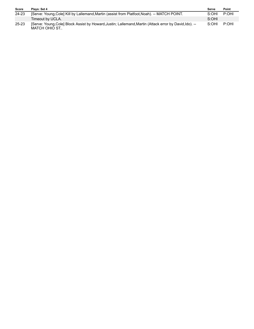| <b>Score</b> | Plays: Set 4                                                                                                         | Serve | Point |
|--------------|----------------------------------------------------------------------------------------------------------------------|-------|-------|
| 24-23        | [Serve: Young Cole] Kill by Lallemand Martin (assist from Platfoot Noah). -- MATCH POINT.                            | S:OHI | P:OHI |
|              | Timeout by UCLA.                                                                                                     | S:OHI |       |
| $25 - 23$    | [Serve: Young Cole] Block Assist by Howard Justin: Lallemand Martin (Attack error by David Ido). --<br>MATCH OHIO ST | S:OHI | P:OHI |